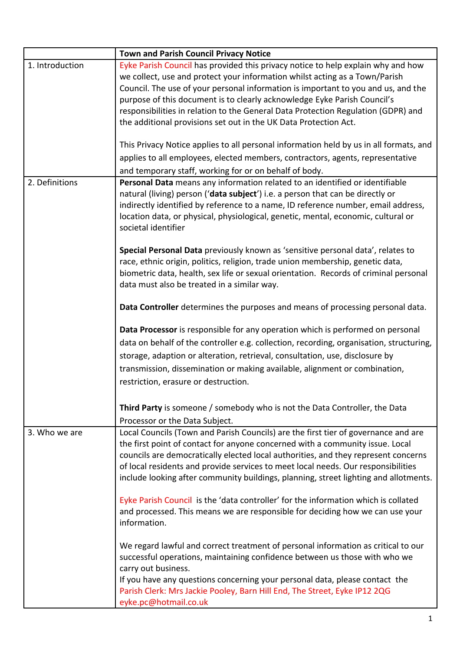|                 | <b>Town and Parish Council Privacy Notice</b>                                                                                                                                                                                                                                                                                                                                                                                                                                             |
|-----------------|-------------------------------------------------------------------------------------------------------------------------------------------------------------------------------------------------------------------------------------------------------------------------------------------------------------------------------------------------------------------------------------------------------------------------------------------------------------------------------------------|
| 1. Introduction | Eyke Parish Council has provided this privacy notice to help explain why and how<br>we collect, use and protect your information whilst acting as a Town/Parish<br>Council. The use of your personal information is important to you and us, and the<br>purpose of this document is to clearly acknowledge Eyke Parish Council's<br>responsibilities in relation to the General Data Protection Regulation (GDPR) and<br>the additional provisions set out in the UK Data Protection Act. |
|                 | This Privacy Notice applies to all personal information held by us in all formats, and<br>applies to all employees, elected members, contractors, agents, representative<br>and temporary staff, working for or on behalf of body.                                                                                                                                                                                                                                                        |
| 2. Definitions  | Personal Data means any information related to an identified or identifiable<br>natural (living) person ('data subject') i.e. a person that can be directly or<br>indirectly identified by reference to a name, ID reference number, email address,<br>location data, or physical, physiological, genetic, mental, economic, cultural or<br>societal identifier<br>Special Personal Data previously known as 'sensitive personal data', relates to                                        |
|                 | race, ethnic origin, politics, religion, trade union membership, genetic data,<br>biometric data, health, sex life or sexual orientation. Records of criminal personal<br>data must also be treated in a similar way.                                                                                                                                                                                                                                                                     |
|                 | Data Controller determines the purposes and means of processing personal data.                                                                                                                                                                                                                                                                                                                                                                                                            |
|                 | Data Processor is responsible for any operation which is performed on personal<br>data on behalf of the controller e.g. collection, recording, organisation, structuring,<br>storage, adaption or alteration, retrieval, consultation, use, disclosure by<br>transmission, dissemination or making available, alignment or combination,<br>restriction, erasure or destruction.                                                                                                           |
|                 | Third Party is someone / somebody who is not the Data Controller, the Data<br>Processor or the Data Subject.                                                                                                                                                                                                                                                                                                                                                                              |
| 3. Who we are   | Local Councils (Town and Parish Councils) are the first tier of governance and are<br>the first point of contact for anyone concerned with a community issue. Local<br>councils are democratically elected local authorities, and they represent concerns<br>of local residents and provide services to meet local needs. Our responsibilities<br>include looking after community buildings, planning, street lighting and allotments.                                                    |
|                 | Eyke Parish Council is the 'data controller' for the information which is collated<br>and processed. This means we are responsible for deciding how we can use your<br>information.                                                                                                                                                                                                                                                                                                       |
|                 | We regard lawful and correct treatment of personal information as critical to our<br>successful operations, maintaining confidence between us those with who we<br>carry out business.                                                                                                                                                                                                                                                                                                    |
|                 | If you have any questions concerning your personal data, please contact the<br>Parish Clerk: Mrs Jackie Pooley, Barn Hill End, The Street, Eyke IP12 2QG<br>eyke.pc@hotmail.co.uk                                                                                                                                                                                                                                                                                                         |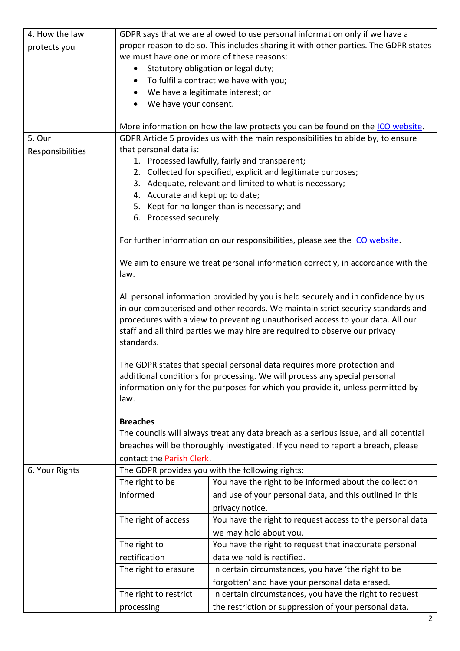| 4. How the law   |                                                                                                                                                                          | GDPR says that we are allowed to use personal information only if we have a   |  |  |  |
|------------------|--------------------------------------------------------------------------------------------------------------------------------------------------------------------------|-------------------------------------------------------------------------------|--|--|--|
| protects you     | proper reason to do so. This includes sharing it with other parties. The GDPR states                                                                                     |                                                                               |  |  |  |
|                  | we must have one or more of these reasons:                                                                                                                               |                                                                               |  |  |  |
|                  | $\bullet$                                                                                                                                                                | Statutory obligation or legal duty;                                           |  |  |  |
|                  | $\bullet$                                                                                                                                                                | To fulfil a contract we have with you;                                        |  |  |  |
|                  | $\bullet$                                                                                                                                                                | We have a legitimate interest; or                                             |  |  |  |
|                  |                                                                                                                                                                          |                                                                               |  |  |  |
|                  | We have your consent.                                                                                                                                                    |                                                                               |  |  |  |
|                  |                                                                                                                                                                          |                                                                               |  |  |  |
|                  |                                                                                                                                                                          | More information on how the law protects you can be found on the ICO website. |  |  |  |
| 5. Our           | GDPR Article 5 provides us with the main responsibilities to abide by, to ensure                                                                                         |                                                                               |  |  |  |
| Responsibilities | that personal data is:                                                                                                                                                   |                                                                               |  |  |  |
|                  | 1. Processed lawfully, fairly and transparent;                                                                                                                           |                                                                               |  |  |  |
|                  | 2. Collected for specified, explicit and legitimate purposes;                                                                                                            |                                                                               |  |  |  |
|                  |                                                                                                                                                                          | 3. Adequate, relevant and limited to what is necessary;                       |  |  |  |
|                  | 4. Accurate and kept up to date;                                                                                                                                         |                                                                               |  |  |  |
|                  |                                                                                                                                                                          | 5. Kept for no longer than is necessary; and                                  |  |  |  |
|                  | 6. Processed securely.                                                                                                                                                   |                                                                               |  |  |  |
|                  |                                                                                                                                                                          |                                                                               |  |  |  |
|                  | For further information on our responsibilities, please see the ICO website.                                                                                             |                                                                               |  |  |  |
|                  |                                                                                                                                                                          |                                                                               |  |  |  |
|                  | We aim to ensure we treat personal information correctly, in accordance with the                                                                                         |                                                                               |  |  |  |
|                  |                                                                                                                                                                          |                                                                               |  |  |  |
|                  | law.                                                                                                                                                                     |                                                                               |  |  |  |
|                  |                                                                                                                                                                          |                                                                               |  |  |  |
|                  | All personal information provided by you is held securely and in confidence by us                                                                                        |                                                                               |  |  |  |
|                  | in our computerised and other records. We maintain strict security standards and                                                                                         |                                                                               |  |  |  |
|                  | procedures with a view to preventing unauthorised access to your data. All our                                                                                           |                                                                               |  |  |  |
|                  |                                                                                                                                                                          | staff and all third parties we may hire are required to observe our privacy   |  |  |  |
|                  | standards.                                                                                                                                                               |                                                                               |  |  |  |
|                  |                                                                                                                                                                          |                                                                               |  |  |  |
|                  | The GDPR states that special personal data requires more protection and                                                                                                  |                                                                               |  |  |  |
|                  | additional conditions for processing. We will process any special personal<br>information only for the purposes for which you provide it, unless permitted by<br>law.    |                                                                               |  |  |  |
|                  |                                                                                                                                                                          |                                                                               |  |  |  |
|                  |                                                                                                                                                                          |                                                                               |  |  |  |
|                  |                                                                                                                                                                          |                                                                               |  |  |  |
|                  | <b>Breaches</b>                                                                                                                                                          |                                                                               |  |  |  |
|                  | The councils will always treat any data breach as a serious issue, and all potential<br>breaches will be thoroughly investigated. If you need to report a breach, please |                                                                               |  |  |  |
|                  |                                                                                                                                                                          |                                                                               |  |  |  |
|                  |                                                                                                                                                                          |                                                                               |  |  |  |
|                  | contact the Parish Clerk.                                                                                                                                                |                                                                               |  |  |  |
| 6. Your Rights   |                                                                                                                                                                          | The GDPR provides you with the following rights:                              |  |  |  |
|                  | The right to be                                                                                                                                                          | You have the right to be informed about the collection                        |  |  |  |
|                  | informed                                                                                                                                                                 | and use of your personal data, and this outlined in this                      |  |  |  |
|                  |                                                                                                                                                                          | privacy notice.                                                               |  |  |  |
|                  | The right of access                                                                                                                                                      | You have the right to request access to the personal data                     |  |  |  |
|                  |                                                                                                                                                                          |                                                                               |  |  |  |
|                  |                                                                                                                                                                          | we may hold about you.                                                        |  |  |  |
|                  | The right to                                                                                                                                                             | You have the right to request that inaccurate personal                        |  |  |  |
|                  | rectification                                                                                                                                                            | data we hold is rectified.                                                    |  |  |  |
|                  | The right to erasure                                                                                                                                                     | In certain circumstances, you have 'the right to be                           |  |  |  |
|                  |                                                                                                                                                                          | forgotten' and have your personal data erased.                                |  |  |  |
|                  | The right to restrict                                                                                                                                                    | In certain circumstances, you have the right to request                       |  |  |  |
|                  |                                                                                                                                                                          | the restriction or suppression of your personal data.                         |  |  |  |
|                  | processing                                                                                                                                                               |                                                                               |  |  |  |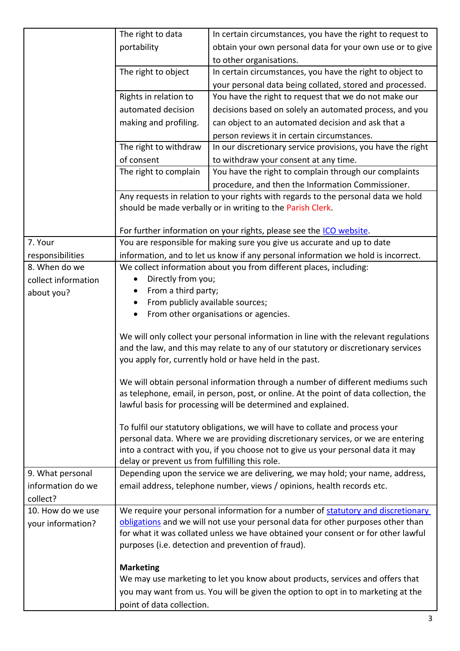|                     | The right to data                              | In certain circumstances, you have the right to request to                                                                                                        |
|---------------------|------------------------------------------------|-------------------------------------------------------------------------------------------------------------------------------------------------------------------|
|                     | portability                                    | obtain your own personal data for your own use or to give                                                                                                         |
|                     |                                                | to other organisations.                                                                                                                                           |
|                     | The right to object                            | In certain circumstances, you have the right to object to                                                                                                         |
|                     |                                                | your personal data being collated, stored and processed.                                                                                                          |
|                     | Rights in relation to                          | You have the right to request that we do not make our                                                                                                             |
|                     | automated decision                             | decisions based on solely an automated process, and you                                                                                                           |
|                     | making and profiling.                          | can object to an automated decision and ask that a                                                                                                                |
|                     |                                                | person reviews it in certain circumstances.                                                                                                                       |
|                     | The right to withdraw                          | In our discretionary service provisions, you have the right                                                                                                       |
|                     | of consent                                     | to withdraw your consent at any time.                                                                                                                             |
|                     | The right to complain                          | You have the right to complain through our complaints                                                                                                             |
|                     |                                                | procedure, and then the Information Commissioner.                                                                                                                 |
|                     |                                                | Any requests in relation to your rights with regards to the personal data we hold                                                                                 |
|                     |                                                | should be made verbally or in writing to the Parish Clerk.                                                                                                        |
|                     |                                                |                                                                                                                                                                   |
|                     |                                                | For further information on your rights, please see the ICO website.                                                                                               |
| 7. Your             |                                                | You are responsible for making sure you give us accurate and up to date                                                                                           |
| responsibilities    |                                                | information, and to let us know if any personal information we hold is incorrect.                                                                                 |
| 8. When do we       |                                                | We collect information about you from different places, including:                                                                                                |
| collect information | Directly from you;<br>٠                        |                                                                                                                                                                   |
| about you?          | From a third party;                            |                                                                                                                                                                   |
|                     |                                                | From publicly available sources;                                                                                                                                  |
|                     |                                                | From other organisations or agencies.                                                                                                                             |
|                     |                                                | We will only collect your personal information in line with the relevant regulations                                                                              |
|                     |                                                | and the law, and this may relate to any of our statutory or discretionary services                                                                                |
|                     |                                                | you apply for, currently hold or have held in the past.                                                                                                           |
|                     |                                                |                                                                                                                                                                   |
|                     |                                                | We will obtain personal information through a number of different mediums such                                                                                    |
|                     |                                                | as telephone, email, in person, post, or online. At the point of data collection, the                                                                             |
|                     |                                                | lawful basis for processing will be determined and explained.                                                                                                     |
|                     |                                                |                                                                                                                                                                   |
|                     |                                                | To fulfil our statutory obligations, we will have to collate and process your<br>personal data. Where we are providing discretionary services, or we are entering |
|                     |                                                | into a contract with you, if you choose not to give us your personal data it may                                                                                  |
|                     | delay or prevent us from fulfilling this role. |                                                                                                                                                                   |
| 9. What personal    |                                                | Depending upon the service we are delivering, we may hold; your name, address,                                                                                    |
| information do we   |                                                | email address, telephone number, views / opinions, health records etc.                                                                                            |
| collect?            |                                                |                                                                                                                                                                   |
| 10. How do we use   |                                                | We require your personal information for a number of statutory and discretionary                                                                                  |
| your information?   |                                                | obligations and we will not use your personal data for other purposes other than                                                                                  |
|                     |                                                | for what it was collated unless we have obtained your consent or for other lawful                                                                                 |
|                     |                                                | purposes (i.e. detection and prevention of fraud).                                                                                                                |
|                     |                                                |                                                                                                                                                                   |
|                     | <b>Marketing</b>                               |                                                                                                                                                                   |
|                     |                                                | We may use marketing to let you know about products, services and offers that                                                                                     |
|                     |                                                | you may want from us. You will be given the option to opt in to marketing at the                                                                                  |
|                     | point of data collection.                      |                                                                                                                                                                   |